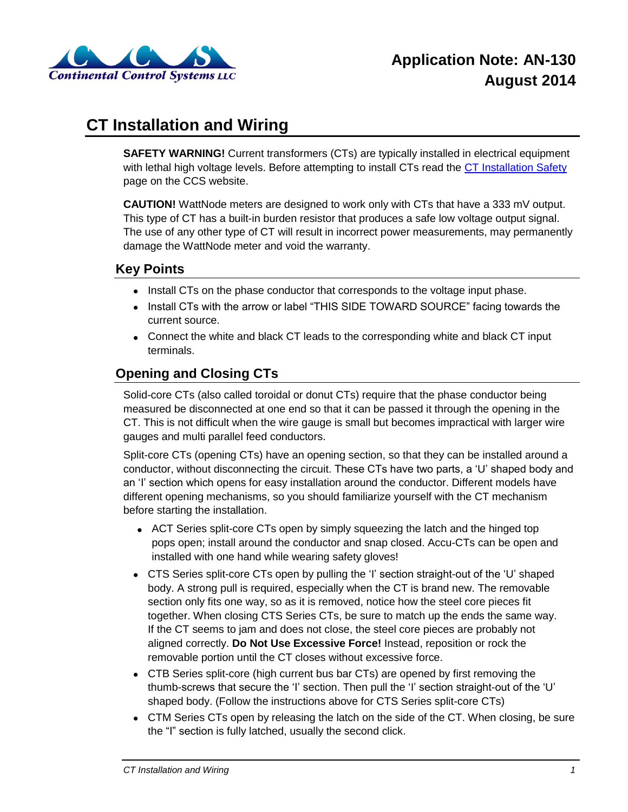

# **CT Installation and Wiring**

**SAFETY WARNING!** Current transformers (CTs) are typically installed in electrical equipment with lethal high voltage levels. Before attempting to install CTs read the [CT Installation Safety](http://www.ccontrolsys.com/w/CT_Installation_Safety) page on the CCS website.

**CAUTION!** WattNode meters are designed to work only with CTs that have a 333 mV output. This type of CT has a built-in burden resistor that produces a safe low voltage output signal. The use of any other type of CT will result in incorrect power measurements, may permanently damage the WattNode meter and void the warranty.

# **Key Points**

- Install CTs on the phase conductor that corresponds to the voltage input phase.
- Install CTs with the arrow or label "THIS SIDE TOWARD SOURCE" facing towards the current source.
- Connect the white and black CT leads to the corresponding white and black CT input terminals.

# **Opening and Closing CTs**

Solid-core CTs (also called toroidal or donut CTs) require that the phase conductor being measured be disconnected at one end so that it can be passed it through the opening in the CT. This is not difficult when the wire gauge is small but becomes impractical with larger wire gauges and multi parallel feed conductors.

Split-core CTs (opening CTs) have an opening section, so that they can be installed around a conductor, without disconnecting the circuit. These CTs have two parts, a 'U' shaped body and an 'I' section which opens for easy installation around the conductor. Different models have different opening mechanisms, so you should familiarize yourself with the CT mechanism before starting the installation.

- ACT Series split-core CTs open by simply squeezing the latch and the hinged top pops open; install around the conductor and snap closed. Accu-CTs can be open and installed with one hand while wearing safety gloves!
- CTS Series split-core CTs open by pulling the 'I' section straight-out of the 'U' shaped body. A strong pull is required, especially when the CT is brand new. The removable section only fits one way, so as it is removed, notice how the steel core pieces fit together. When closing CTS Series CTs, be sure to match up the ends the same way. If the CT seems to jam and does not close, the steel core pieces are probably not aligned correctly. **Do Not Use Excessive Force!** Instead, reposition or rock the removable portion until the CT closes without excessive force.
- CTB Series split-core (high current bus bar CTs) are opened by first removing the thumb-screws that secure the 'I' section. Then pull the 'I' section straight-out of the 'U' shaped body. (Follow the instructions above for CTS Series split-core CTs)
- CTM Series CTs open by releasing the latch on the side of the CT. When closing, be sure the "I" section is fully latched, usually the second click.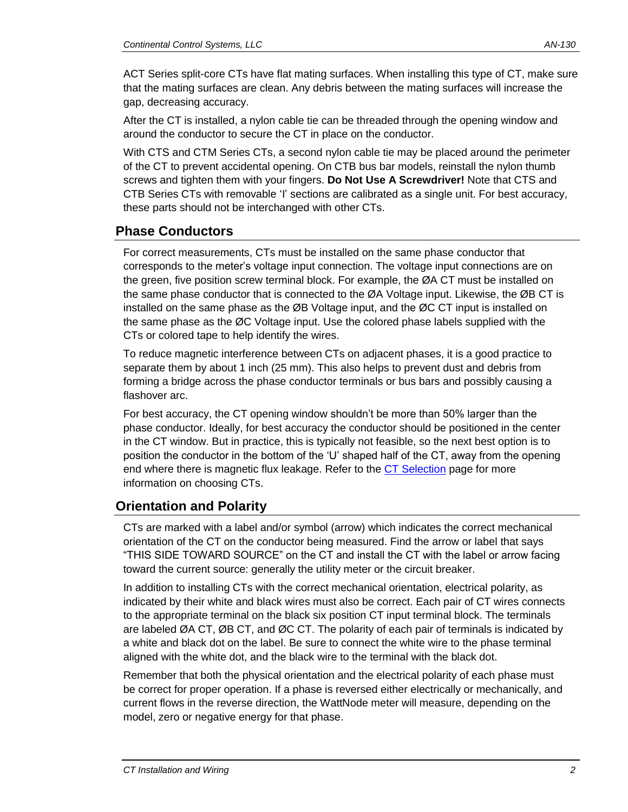ACT Series split-core CTs have flat mating surfaces. When installing this type of CT, make sure that the mating surfaces are clean. Any debris between the mating surfaces will increase the gap, decreasing accuracy.

After the CT is installed, a nylon cable tie can be threaded through the opening window and around the conductor to secure the CT in place on the conductor.

With CTS and CTM Series CTs, a second nylon cable tie may be placed around the perimeter of the CT to prevent accidental opening. On CTB bus bar models, reinstall the nylon thumb screws and tighten them with your fingers. **Do Not Use A Screwdriver!** Note that CTS and CTB Series CTs with removable 'I' sections are calibrated as a single unit. For best accuracy, these parts should not be interchanged with other CTs.

### **Phase Conductors**

For correct measurements, CTs must be installed on the same phase conductor that corresponds to the meter's voltage input connection. The voltage input connections are on the green, five position screw terminal block. For example, the ØA CT must be installed on the same phase conductor that is connected to the ØA Voltage input. Likewise, the ØB CT is installed on the same phase as the ØB Voltage input, and the ØC CT input is installed on the same phase as the ØC Voltage input. Use the colored phase labels supplied with the CTs or colored tape to help identify the wires.

To reduce magnetic interference between CTs on adjacent phases, it is a good practice to separate them by about 1 inch (25 mm). This also helps to prevent dust and debris from forming a bridge across the phase conductor terminals or bus bars and possibly causing a flashover arc.

For best accuracy, the CT opening window shouldn't be more than 50% larger than the phase conductor. Ideally, for best accuracy the conductor should be positioned in the center in the CT window. But in practice, this is typically not feasible, so the next best option is to position the conductor in the bottom of the 'U' shaped half of the CT, away from the opening end where there is magnetic flux leakage. Refer to the [CT Selection](http://www.ccontrolsys.com/w/CT_Selection) page for more information on choosing CTs.

# **Orientation and Polarity**

CTs are marked with a label and/or symbol (arrow) which indicates the correct mechanical orientation of the CT on the conductor being measured. Find the arrow or label that says "THIS SIDE TOWARD SOURCE" on the CT and install the CT with the label or arrow facing toward the current source: generally the utility meter or the circuit breaker.

In addition to installing CTs with the correct mechanical orientation, electrical polarity, as indicated by their white and black wires must also be correct. Each pair of CT wires connects to the appropriate terminal on the black six position CT input terminal block. The terminals are labeled ØA CT, ØB CT, and ØC CT. The polarity of each pair of terminals is indicated by a white and black dot on the label. Be sure to connect the white wire to the phase terminal aligned with the white dot, and the black wire to the terminal with the black dot.

Remember that both the physical orientation and the electrical polarity of each phase must be correct for proper operation. If a phase is reversed either electrically or mechanically, and current flows in the reverse direction, the WattNode meter will measure, depending on the model, zero or negative energy for that phase.